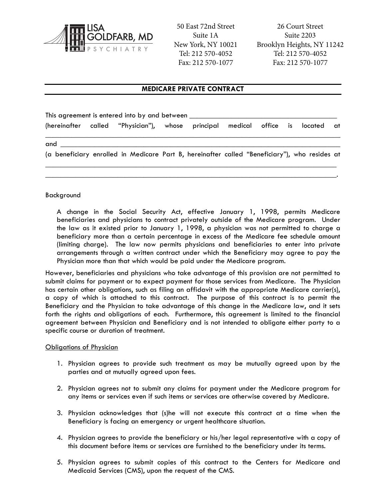

50 East 72nd Street Suite 1A New York, NY 10021 Tel: 212 570-4052 Fax: 212 570-1077

26 Court Street Suite 2203 Brooklyn Heights, NY 11242 Tel: 212 570-4052 Fax: 212 570-1077

# **MEDICARE PRIVATE CONTRACT**

| This agreement is entered into by and between with a state of the state of the state of the state of the state of the state of the state of the state of the state of the state of the state of the state of the state of the |  |  |  |  |  |  |  |  |                       |  |
|-------------------------------------------------------------------------------------------------------------------------------------------------------------------------------------------------------------------------------|--|--|--|--|--|--|--|--|-----------------------|--|
| (hereinafter called "Physician"), whose principal medical office is located                                                                                                                                                   |  |  |  |  |  |  |  |  | at and the controller |  |
| and                                                                                                                                                                                                                           |  |  |  |  |  |  |  |  |                       |  |
| (a beneficiary enrolled in Medicare Part B, hereinafter called "Beneficiary"), who resides at                                                                                                                                 |  |  |  |  |  |  |  |  |                       |  |

\_\_\_\_\_\_\_\_\_\_\_\_\_\_\_\_\_\_\_\_\_\_\_\_\_\_\_\_\_\_\_\_\_\_\_\_\_\_\_\_\_\_\_\_\_\_\_\_\_\_\_\_\_\_\_\_\_\_\_\_\_\_\_\_\_\_\_\_\_\_\_\_\_\_\_\_\_.

#### Background

A change in the Social Security Act, effective January 1, 1998, permits Medicare beneficiaries and physicians to contract privately outside of the Medicare program. Under the law as it existed prior to January 1, 1998, a physician was not permitted to charge a beneficiary more than a certain percentage in excess of the Medicare fee schedule amount (limiting charge). The law now permits physicians and beneficiaries to enter into private arrangements through a written contract under which the Beneficiary may agree to pay the Physician more than that which would be paid under the Medicare program.

However, beneficiaries and physicians who take advantage of this provision are not permitted to submit claims for payment or to expect payment for those services from Medicare. The Physician has certain other obligations, such as filing an affidavit with the appropriate Medicare carrier(s), a copy of which is attached to this contract. The purpose of this contract is to permit the Beneficiary and the Physician to take advantage of this change in the Medicare law, and it sets forth the rights and obligations of each. Furthermore, this agreement is limited to the financial agreement between Physician and Beneficiary and is not intended to obligate either party to a specific course or duration of treatment.

#### Obligations of Physician

- 1. Physician agrees to provide such treatment as may be mutually agreed upon by the parties and at mutually agreed upon fees.
- 2. Physician agrees not to submit any claims for payment under the Medicare program for any items or services even if such items or services are otherwise covered by Medicare.
- 3. Physician acknowledges that (s)he will not execute this contract at a time when the Beneficiary is facing an emergency or urgent healthcare situation.
- 4. Physician agrees to provide the beneficiary or his/her legal representative with a copy of this document before items or services are furnished to the beneficiary under its terms.
- 5. Physician agrees to submit copies of this contract to the Centers for Medicare and Medicaid Services (CMS), upon the request of the CMS.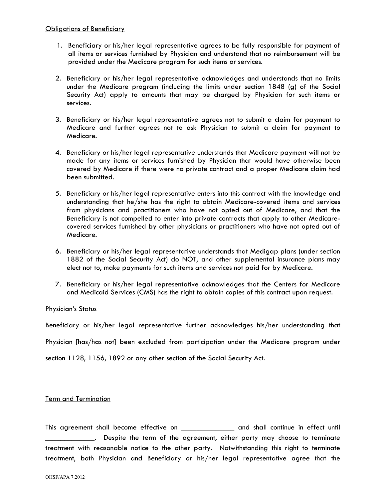- 1. Beneficiary or his/her legal representative agrees to be fully responsible for payment of all items or services furnished by Physician and understand that no reimbursement will be provided under the Medicare program for such items or services.
- 2. Beneficiary or his/her legal representative acknowledges and understands that no limits under the Medicare program (including the limits under section 1848 (g) of the Social Security Act) apply to amounts that may be charged by Physician for such items or services.
- 3. Beneficiary or his/her legal representative agrees not to submit a claim for payment to Medicare and further agrees not to ask Physician to submit a claim for payment to Medicare.
- 4. Beneficiary or his/her legal representative understands that Medicare payment will not be made for any items or services furnished by Physician that would have otherwise been covered by Medicare if there were no private contract and a proper Medicare claim had been submitted.
- 5. Beneficiary or his/her legal representative enters into this contract with the knowledge and understanding that he/she has the right to obtain Medicare-covered items and services from physicians and practitioners who have not opted out of Medicare, and that the Beneficiary is not compelled to enter into private contracts that apply to other Medicarecovered services furnished by other physicians or practitioners who have not opted out of Medicare.
- 6. Beneficiary or his/her legal representative understands that Medigap plans (under section 1882 of the Social Security Act) do NOT, and other supplemental insurance plans may elect not to, make payments for such items and services not paid for by Medicare.
- 7. Beneficiary or his/her legal representative acknowledges that the Centers for Medicare and Medicaid Services (CMS) has the right to obtain copies of this contract upon request.

## Physician's Status

Beneficiary or his/her legal representative further acknowledges his/her understanding that

Physician [has/has not] been excluded from participation under the Medicare program under

section 1128, 1156, 1892 or any other section of the Social Security Act.

## Term and Termination

This agreement shall become effective on \_\_\_\_\_\_\_\_\_\_\_\_\_\_ and shall continue in effect until \_\_\_\_\_\_\_\_\_\_\_\_\_. Despite the term of the agreement, either party may choose to terminate treatment with reasonable notice to the other party. Notwithstanding this right to terminate treatment, both Physician and Beneficiary or his/her legal representative agree that the